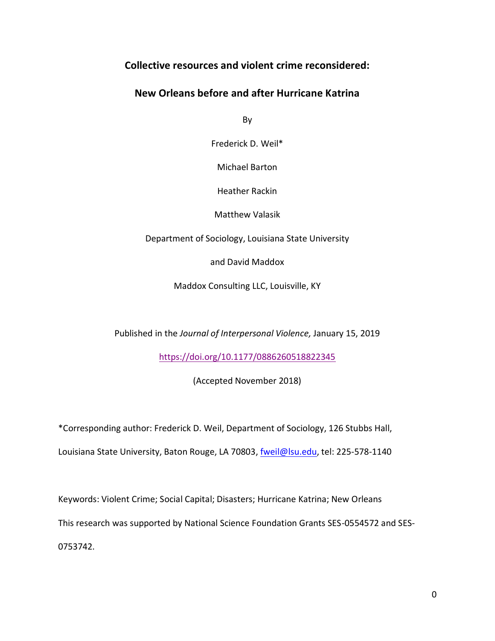# **Collective resources and violent crime reconsidered:**

## **New Orleans before and after Hurricane Katrina**

By

Frederick D. Weil\*

Michael Barton

Heather Rackin

Matthew Valasik

Department of Sociology, Louisiana State University

and David Maddox

Maddox Consulting LLC, Louisville, KY

Published in the *Journal of Interpersonal Violence,* January 15, 2019

<https://doi.org/10.1177/0886260518822345>

(Accepted November 2018)

\*Corresponding author: Frederick D. Weil, Department of Sociology, 126 Stubbs Hall,

Louisiana State University, Baton Rouge, LA 70803, [fweil@lsu.edu,](mailto:fweil@lsu.edu) tel: 225-578-1140

Keywords: Violent Crime; Social Capital; Disasters; Hurricane Katrina; New Orleans

This research was supported by National Science Foundation Grants SES-0554572 and SES-

0753742.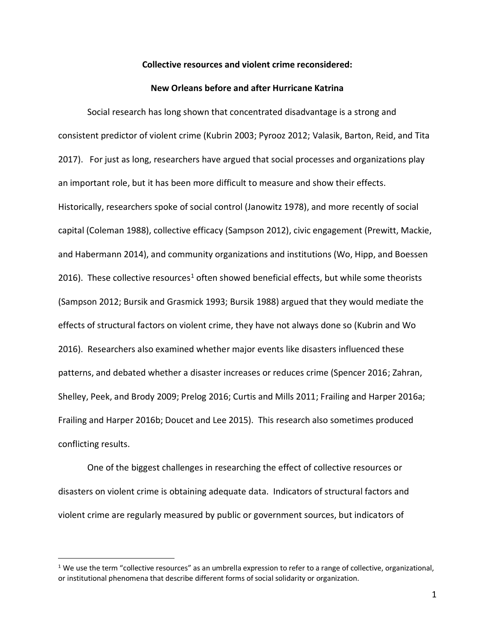## **Collective resources and violent crime reconsidered:**

#### **New Orleans before and after Hurricane Katrina**

Social research has long shown that concentrated disadvantage is a strong and consistent predictor of violent crime (Kubrin 2003; Pyrooz 2012; Valasik, Barton, Reid, and Tita 2017). For just as long, researchers have argued that social processes and organizations play an important role, but it has been more difficult to measure and show their effects. Historically, researchers spoke of social control (Janowitz 1978), and more recently of social capital (Coleman 1988), collective efficacy (Sampson 2012), civic engagement (Prewitt, Mackie, and Habermann 2014), and community organizations and institutions (Wo, Hipp, and Boessen 2016). These collective resources<sup>1</sup> often showed beneficial effects, but while some theorists (Sampson 2012; Bursik and Grasmick 1993; Bursik 1988) argued that they would mediate the effects of structural factors on violent crime, they have not always done so (Kubrin and Wo 2016). Researchers also examined whether major events like disasters influenced these patterns, and debated whether a disaster increases or reduces crime (Spencer 2016; Zahran, Shelley, Peek, and Brody 2009; Prelog 2016; Curtis and Mills 2011; Frailing and Harper 2016a; Frailing and Harper 2016b; Doucet and Lee 2015). This research also sometimes produced conflicting results.

One of the biggest challenges in researching the effect of collective resources or disasters on violent crime is obtaining adequate data. Indicators of structural factors and violent crime are regularly measured by public or government sources, but indicators of

 $\overline{a}$ 

 $1$  We use the term "collective resources" as an umbrella expression to refer to a range of collective, organizational, or institutional phenomena that describe different forms of social solidarity or organization.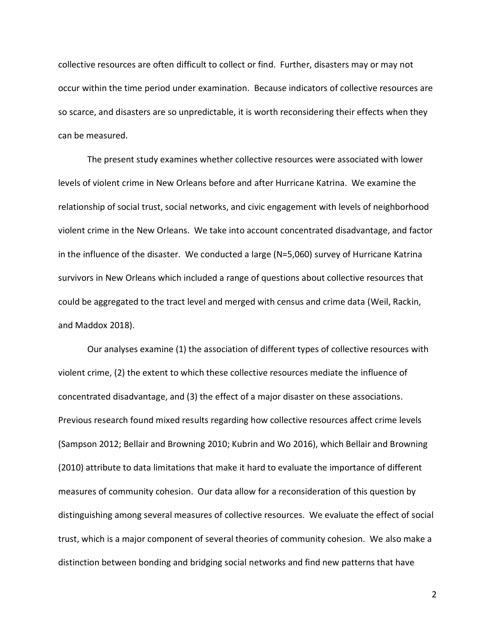collective resources are often difficult to collect or find. Further, disasters may or may not occur within the time period under examination. Because indicators of collective resources are so scarce, and disasters are so unpredictable, it is worth reconsidering their effects when they can be measured.

The present study examines whether collective resources were associated with lower levels of violent crime in New Orleans before and after Hurricane Katrina. We examine the relationship of social trust, social networks, and civic engagement with levels of neighborhood violent crime in the New Orleans. We take into account concentrated disadvantage, and factor in the influence of the disaster. We conducted a large (N=5,060) survey of Hurricane Katrina survivors in New Orleans which included a range of questions about collective resources that could be aggregated to the tract level and merged with census and crime data (Weil, Rackin, and Maddox 2018).

Our analyses examine (1) the association of different types of collective resources with violent crime, (2) the extent to which these collective resources mediate the influence of concentrated disadvantage, and (3) the effect of a major disaster on these associations. Previous research found mixed results regarding how collective resources affect crime levels (Sampson 2012; Bellair and Browning 2010; Kubrin and Wo 2016), which Bellair and Browning (2010) attribute to data limitations that make it hard to evaluate the importance of different measures of community cohesion. Our data allow for a reconsideration of this question by distinguishing among several measures of collective resources. We evaluate the effect of social trust, which is a major component of several theories of community cohesion. We also make a distinction between bonding and bridging social networks and find new patterns that have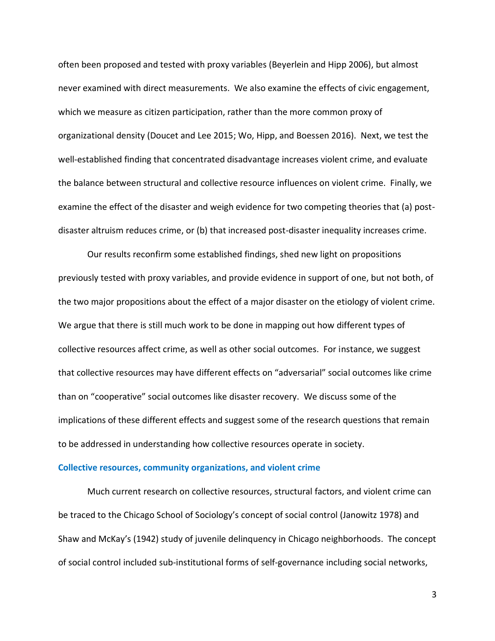often been proposed and tested with proxy variables (Beyerlein and Hipp 2006), but almost never examined with direct measurements. We also examine the effects of civic engagement, which we measure as citizen participation, rather than the more common proxy of organizational density (Doucet and Lee 2015; Wo, Hipp, and Boessen 2016). Next, we test the well-established finding that concentrated disadvantage increases violent crime, and evaluate the balance between structural and collective resource influences on violent crime. Finally, we examine the effect of the disaster and weigh evidence for two competing theories that (a) postdisaster altruism reduces crime, or (b) that increased post-disaster inequality increases crime.

Our results reconfirm some established findings, shed new light on propositions previously tested with proxy variables, and provide evidence in support of one, but not both, of the two major propositions about the effect of a major disaster on the etiology of violent crime. We argue that there is still much work to be done in mapping out how different types of collective resources affect crime, as well as other social outcomes. For instance, we suggest that collective resources may have different effects on "adversarial" social outcomes like crime than on "cooperative" social outcomes like disaster recovery. We discuss some of the implications of these different effects and suggest some of the research questions that remain to be addressed in understanding how collective resources operate in society.

### **Collective resources, community organizations, and violent crime**

Much current research on collective resources, structural factors, and violent crime can be traced to the Chicago School of Sociology's concept of social control (Janowitz 1978) and Shaw and McKay's (1942) study of juvenile delinquency in Chicago neighborhoods. The concept of social control included sub-institutional forms of self-governance including social networks,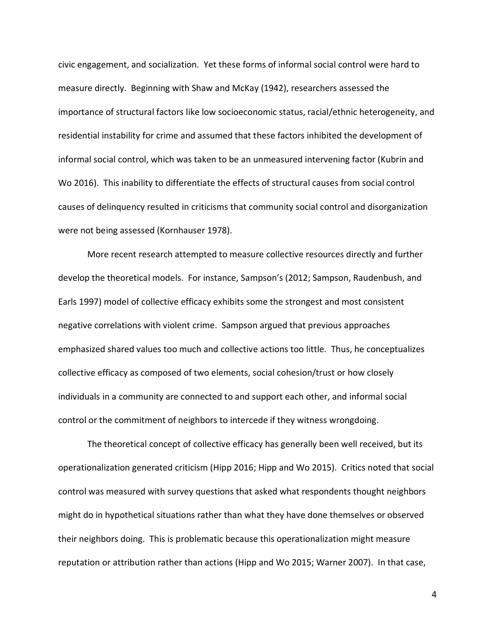civic engagement, and socialization. Yet these forms of informal social control were hard to measure directly. Beginning with Shaw and McKay (1942), researchers assessed the importance of structural factors like low socioeconomic status, racial/ethnic heterogeneity, and residential instability for crime and assumed that these factors inhibited the development of informal social control, which was taken to be an unmeasured intervening factor (Kubrin and Wo 2016). This inability to differentiate the effects of structural causes from social control causes of delinquency resulted in criticisms that community social control and disorganization were not being assessed (Kornhauser 1978).

More recent research attempted to measure collective resources directly and further develop the theoretical models. For instance, Sampson's (2012; Sampson, Raudenbush, and Earls 1997) model of collective efficacy exhibits some the strongest and most consistent negative correlations with violent crime. Sampson argued that previous approaches emphasized shared values too much and collective actions too little. Thus, he conceptualizes collective efficacy as composed of two elements, social cohesion/trust or how closely individuals in a community are connected to and support each other, and informal social control or the commitment of neighbors to intercede if they witness wrongdoing.

The theoretical concept of collective efficacy has generally been well received, but its operationalization generated criticism (Hipp 2016; Hipp and Wo 2015). Critics noted that social control was measured with survey questions that asked what respondents thought neighbors might do in hypothetical situations rather than what they have done themselves or observed their neighbors doing. This is problematic because this operationalization might measure reputation or attribution rather than actions (Hipp and Wo 2015; Warner 2007). In that case,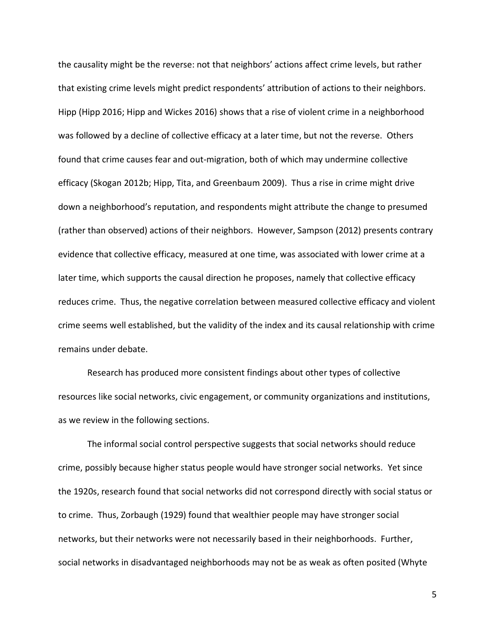the causality might be the reverse: not that neighbors' actions affect crime levels, but rather that existing crime levels might predict respondents' attribution of actions to their neighbors. Hipp (Hipp 2016; Hipp and Wickes 2016) shows that a rise of violent crime in a neighborhood was followed by a decline of collective efficacy at a later time, but not the reverse. Others found that crime causes fear and out-migration, both of which may undermine collective efficacy (Skogan 2012b; Hipp, Tita, and Greenbaum 2009). Thus a rise in crime might drive down a neighborhood's reputation, and respondents might attribute the change to presumed (rather than observed) actions of their neighbors. However, Sampson (2012) presents contrary evidence that collective efficacy, measured at one time, was associated with lower crime at a later time, which supports the causal direction he proposes, namely that collective efficacy reduces crime. Thus, the negative correlation between measured collective efficacy and violent crime seems well established, but the validity of the index and its causal relationship with crime remains under debate.

Research has produced more consistent findings about other types of collective resources like social networks, civic engagement, or community organizations and institutions, as we review in the following sections.

The informal social control perspective suggests that social networks should reduce crime, possibly because higher status people would have stronger social networks. Yet since the 1920s, research found that social networks did not correspond directly with social status or to crime. Thus, Zorbaugh (1929) found that wealthier people may have stronger social networks, but their networks were not necessarily based in their neighborhoods. Further, social networks in disadvantaged neighborhoods may not be as weak as often posited (Whyte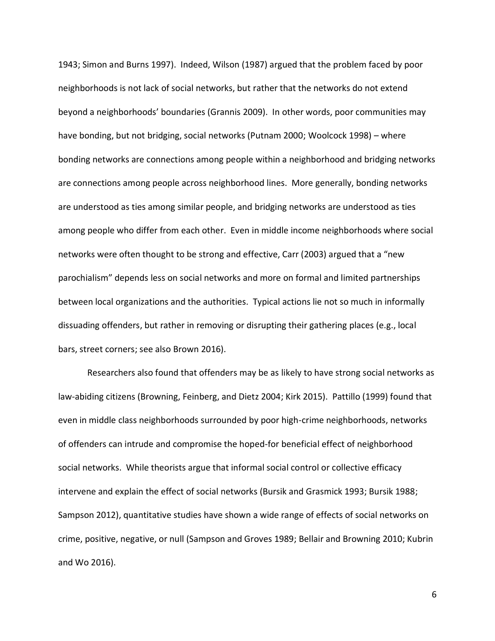1943; Simon and Burns 1997). Indeed, Wilson (1987) argued that the problem faced by poor neighborhoods is not lack of social networks, but rather that the networks do not extend beyond a neighborhoods' boundaries (Grannis 2009). In other words, poor communities may have bonding, but not bridging, social networks (Putnam 2000; Woolcock 1998) – where bonding networks are connections among people within a neighborhood and bridging networks are connections among people across neighborhood lines. More generally, bonding networks are understood as ties among similar people, and bridging networks are understood as ties among people who differ from each other. Even in middle income neighborhoods where social networks were often thought to be strong and effective, Carr (2003) argued that a "new parochialism" depends less on social networks and more on formal and limited partnerships between local organizations and the authorities. Typical actions lie not so much in informally dissuading offenders, but rather in removing or disrupting their gathering places (e.g., local bars, street corners; see also Brown 2016).

Researchers also found that offenders may be as likely to have strong social networks as law-abiding citizens (Browning, Feinberg, and Dietz 2004; Kirk 2015). Pattillo (1999) found that even in middle class neighborhoods surrounded by poor high-crime neighborhoods, networks of offenders can intrude and compromise the hoped-for beneficial effect of neighborhood social networks. While theorists argue that informal social control or collective efficacy intervene and explain the effect of social networks (Bursik and Grasmick 1993; Bursik 1988; Sampson 2012), quantitative studies have shown a wide range of effects of social networks on crime, positive, negative, or null (Sampson and Groves 1989; Bellair and Browning 2010; Kubrin and Wo 2016).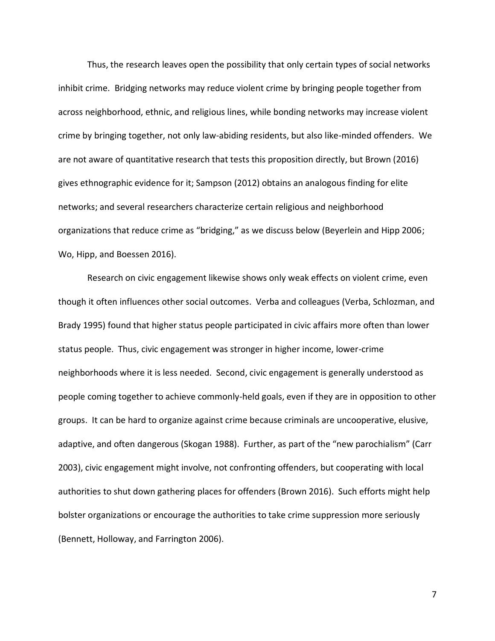Thus, the research leaves open the possibility that only certain types of social networks inhibit crime. Bridging networks may reduce violent crime by bringing people together from across neighborhood, ethnic, and religious lines, while bonding networks may increase violent crime by bringing together, not only law-abiding residents, but also like-minded offenders. We are not aware of quantitative research that tests this proposition directly, but Brown (2016) gives ethnographic evidence for it; Sampson (2012) obtains an analogous finding for elite networks; and several researchers characterize certain religious and neighborhood organizations that reduce crime as "bridging," as we discuss below (Beyerlein and Hipp 2006; Wo, Hipp, and Boessen 2016).

Research on civic engagement likewise shows only weak effects on violent crime, even though it often influences other social outcomes. Verba and colleagues (Verba, Schlozman, and Brady 1995) found that higher status people participated in civic affairs more often than lower status people. Thus, civic engagement was stronger in higher income, lower-crime neighborhoods where it is less needed. Second, civic engagement is generally understood as people coming together to achieve commonly-held goals, even if they are in opposition to other groups. It can be hard to organize against crime because criminals are uncooperative, elusive, adaptive, and often dangerous (Skogan 1988). Further, as part of the "new parochialism" (Carr 2003), civic engagement might involve, not confronting offenders, but cooperating with local authorities to shut down gathering places for offenders (Brown 2016). Such efforts might help bolster organizations or encourage the authorities to take crime suppression more seriously (Bennett, Holloway, and Farrington 2006).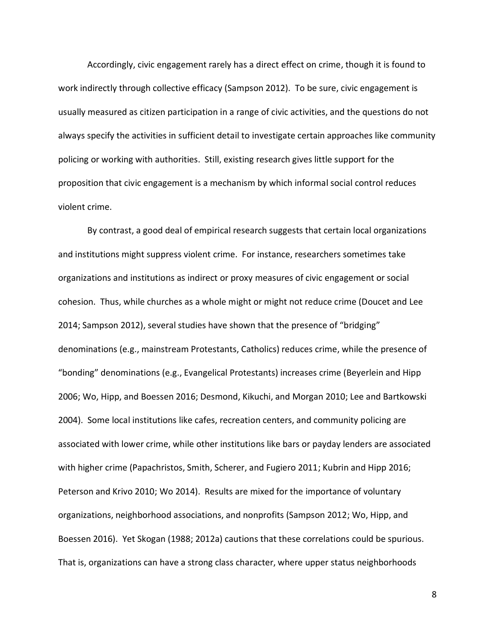Accordingly, civic engagement rarely has a direct effect on crime, though it is found to work indirectly through collective efficacy (Sampson 2012). To be sure, civic engagement is usually measured as citizen participation in a range of civic activities, and the questions do not always specify the activities in sufficient detail to investigate certain approaches like community policing or working with authorities. Still, existing research gives little support for the proposition that civic engagement is a mechanism by which informal social control reduces violent crime.

By contrast, a good deal of empirical research suggests that certain local organizations and institutions might suppress violent crime. For instance, researchers sometimes take organizations and institutions as indirect or proxy measures of civic engagement or social cohesion. Thus, while churches as a whole might or might not reduce crime (Doucet and Lee 2014; Sampson 2012), several studies have shown that the presence of "bridging" denominations (e.g., mainstream Protestants, Catholics) reduces crime, while the presence of "bonding" denominations (e.g., Evangelical Protestants) increases crime (Beyerlein and Hipp 2006; Wo, Hipp, and Boessen 2016; Desmond, Kikuchi, and Morgan 2010; Lee and Bartkowski 2004). Some local institutions like cafes, recreation centers, and community policing are associated with lower crime, while other institutions like bars or payday lenders are associated with higher crime (Papachristos, Smith, Scherer, and Fugiero 2011; Kubrin and Hipp 2016; Peterson and Krivo 2010; Wo 2014). Results are mixed for the importance of voluntary organizations, neighborhood associations, and nonprofits (Sampson 2012; Wo, Hipp, and Boessen 2016). Yet Skogan (1988; 2012a) cautions that these correlations could be spurious. That is, organizations can have a strong class character, where upper status neighborhoods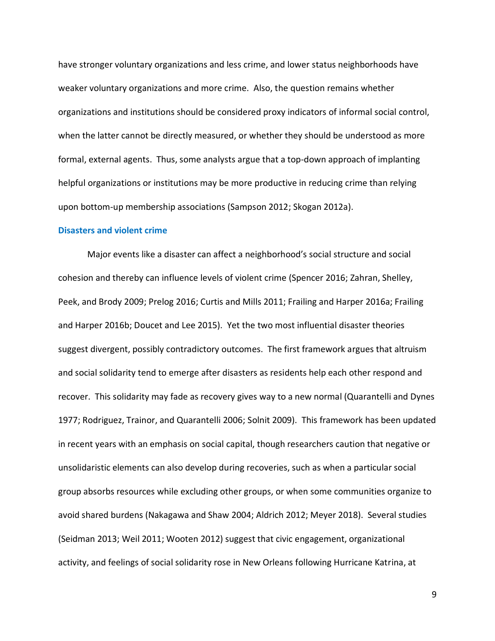have stronger voluntary organizations and less crime, and lower status neighborhoods have weaker voluntary organizations and more crime. Also, the question remains whether organizations and institutions should be considered proxy indicators of informal social control, when the latter cannot be directly measured, or whether they should be understood as more formal, external agents. Thus, some analysts argue that a top-down approach of implanting helpful organizations or institutions may be more productive in reducing crime than relying upon bottom-up membership associations (Sampson 2012; Skogan 2012a).

#### **Disasters and violent crime**

Major events like a disaster can affect a neighborhood's social structure and social cohesion and thereby can influence levels of violent crime (Spencer 2016; Zahran, Shelley, Peek, and Brody 2009; Prelog 2016; Curtis and Mills 2011; Frailing and Harper 2016a; Frailing and Harper 2016b; Doucet and Lee 2015). Yet the two most influential disaster theories suggest divergent, possibly contradictory outcomes. The first framework argues that altruism and social solidarity tend to emerge after disasters as residents help each other respond and recover. This solidarity may fade as recovery gives way to a new normal (Quarantelli and Dynes 1977; Rodriguez, Trainor, and Quarantelli 2006; Solnit 2009). This framework has been updated in recent years with an emphasis on social capital, though researchers caution that negative or unsolidaristic elements can also develop during recoveries, such as when a particular social group absorbs resources while excluding other groups, or when some communities organize to avoid shared burdens (Nakagawa and Shaw 2004; Aldrich 2012; Meyer 2018). Several studies (Seidman 2013; Weil 2011; Wooten 2012) suggest that civic engagement, organizational activity, and feelings of social solidarity rose in New Orleans following Hurricane Katrina, at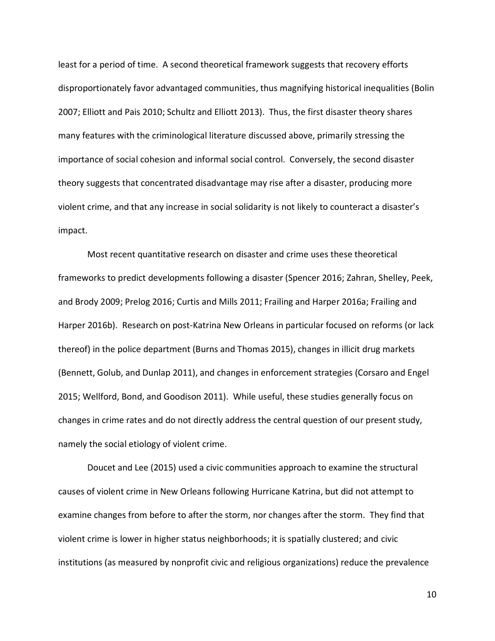least for a period of time. A second theoretical framework suggests that recovery efforts disproportionately favor advantaged communities, thus magnifying historical inequalities (Bolin 2007; Elliott and Pais 2010; Schultz and Elliott 2013). Thus, the first disaster theory shares many features with the criminological literature discussed above, primarily stressing the importance of social cohesion and informal social control. Conversely, the second disaster theory suggests that concentrated disadvantage may rise after a disaster, producing more violent crime, and that any increase in social solidarity is not likely to counteract a disaster's impact.

Most recent quantitative research on disaster and crime uses these theoretical frameworks to predict developments following a disaster (Spencer 2016; Zahran, Shelley, Peek, and Brody 2009; Prelog 2016; Curtis and Mills 2011; Frailing and Harper 2016a; Frailing and Harper 2016b). Research on post-Katrina New Orleans in particular focused on reforms (or lack thereof) in the police department (Burns and Thomas 2015), changes in illicit drug markets (Bennett, Golub, and Dunlap 2011), and changes in enforcement strategies (Corsaro and Engel 2015; Wellford, Bond, and Goodison 2011). While useful, these studies generally focus on changes in crime rates and do not directly address the central question of our present study, namely the social etiology of violent crime.

Doucet and Lee (2015) used a civic communities approach to examine the structural causes of violent crime in New Orleans following Hurricane Katrina, but did not attempt to examine changes from before to after the storm, nor changes after the storm. They find that violent crime is lower in higher status neighborhoods; it is spatially clustered; and civic institutions (as measured by nonprofit civic and religious organizations) reduce the prevalence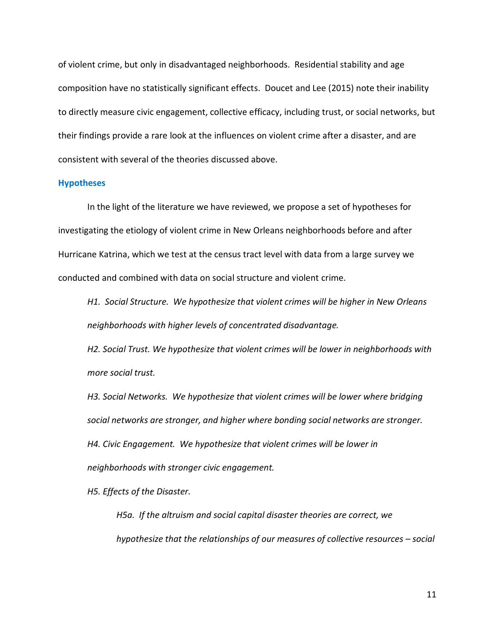of violent crime, but only in disadvantaged neighborhoods. Residential stability and age composition have no statistically significant effects. Doucet and Lee (2015) note their inability to directly measure civic engagement, collective efficacy, including trust, or social networks, but their findings provide a rare look at the influences on violent crime after a disaster, and are consistent with several of the theories discussed above.

#### **Hypotheses**

In the light of the literature we have reviewed, we propose a set of hypotheses for investigating the etiology of violent crime in New Orleans neighborhoods before and after Hurricane Katrina, which we test at the census tract level with data from a large survey we conducted and combined with data on social structure and violent crime.

*H1. Social Structure. We hypothesize that violent crimes will be higher in New Orleans neighborhoods with higher levels of concentrated disadvantage.*

*H2. Social Trust. We hypothesize that violent crimes will be lower in neighborhoods with more social trust.* 

*H3. Social Networks. We hypothesize that violent crimes will be lower where bridging social networks are stronger, and higher where bonding social networks are stronger. H4. Civic Engagement. We hypothesize that violent crimes will be lower in neighborhoods with stronger civic engagement.* 

*H5. Effects of the Disaster.* 

*H5a. If the altruism and social capital disaster theories are correct, we hypothesize that the relationships of our measures of collective resources – social*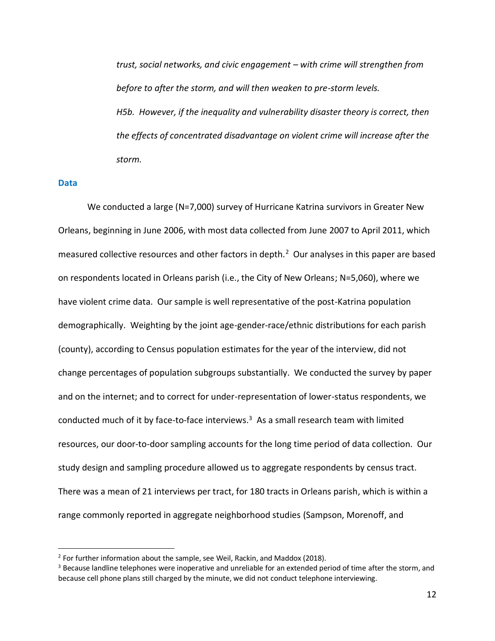*trust, social networks, and civic engagement – with crime will strengthen from before to after the storm, and will then weaken to pre-storm levels. H5b. However, if the inequality and vulnerability disaster theory is correct, then the effects of concentrated disadvantage on violent crime will increase after the storm.*

#### **Data**

 $\overline{a}$ 

We conducted a large (N=7,000) survey of Hurricane Katrina survivors in Greater New Orleans, beginning in June 2006, with most data collected from June 2007 to April 2011, which measured collective resources and other factors in depth.<sup>2</sup> Our analyses in this paper are based on respondents located in Orleans parish (i.e., the City of New Orleans; N=5,060), where we have violent crime data. Our sample is well representative of the post-Katrina population demographically. Weighting by the joint age-gender-race/ethnic distributions for each parish (county), according to Census population estimates for the year of the interview, did not change percentages of population subgroups substantially. We conducted the survey by paper and on the internet; and to correct for under-representation of lower-status respondents, we conducted much of it by face-to-face interviews.<sup>3</sup> As a small research team with limited resources, our door-to-door sampling accounts for the long time period of data collection. Our study design and sampling procedure allowed us to aggregate respondents by census tract. There was a mean of 21 interviews per tract, for 180 tracts in Orleans parish, which is within a range commonly reported in aggregate neighborhood studies (Sampson, Morenoff, and

 $2$  For further information about the sample, see Weil, Rackin, and Maddox (2018).

<sup>&</sup>lt;sup>3</sup> Because landline telephones were inoperative and unreliable for an extended period of time after the storm, and because cell phone plans still charged by the minute, we did not conduct telephone interviewing.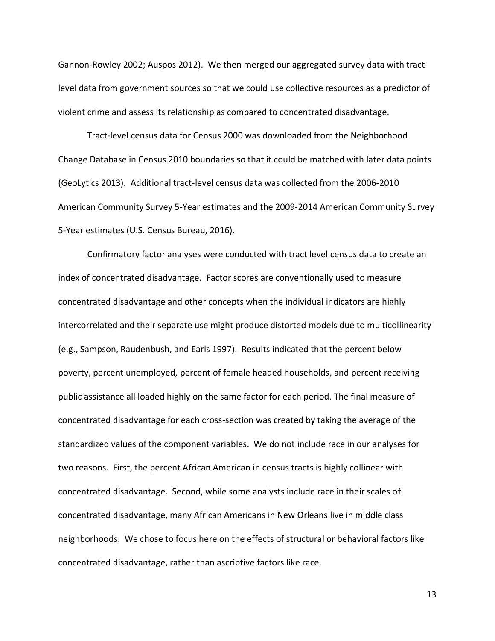Gannon-Rowley 2002; Auspos 2012). We then merged our aggregated survey data with tract level data from government sources so that we could use collective resources as a predictor of violent crime and assess its relationship as compared to concentrated disadvantage.

Tract-level census data for Census 2000 was downloaded from the Neighborhood Change Database in Census 2010 boundaries so that it could be matched with later data points (GeoLytics 2013). Additional tract-level census data was collected from the 2006-2010 American Community Survey 5-Year estimates and the 2009-2014 American Community Survey 5-Year estimates (U.S. Census Bureau, 2016).

Confirmatory factor analyses were conducted with tract level census data to create an index of concentrated disadvantage. Factor scores are conventionally used to measure concentrated disadvantage and other concepts when the individual indicators are highly intercorrelated and their separate use might produce distorted models due to multicollinearity (e.g., Sampson, Raudenbush, and Earls 1997). Results indicated that the percent below poverty, percent unemployed, percent of female headed households, and percent receiving public assistance all loaded highly on the same factor for each period. The final measure of concentrated disadvantage for each cross-section was created by taking the average of the standardized values of the component variables. We do not include race in our analyses for two reasons. First, the percent African American in census tracts is highly collinear with concentrated disadvantage. Second, while some analysts include race in their scales of concentrated disadvantage, many African Americans in New Orleans live in middle class neighborhoods. We chose to focus here on the effects of structural or behavioral factors like concentrated disadvantage, rather than ascriptive factors like race.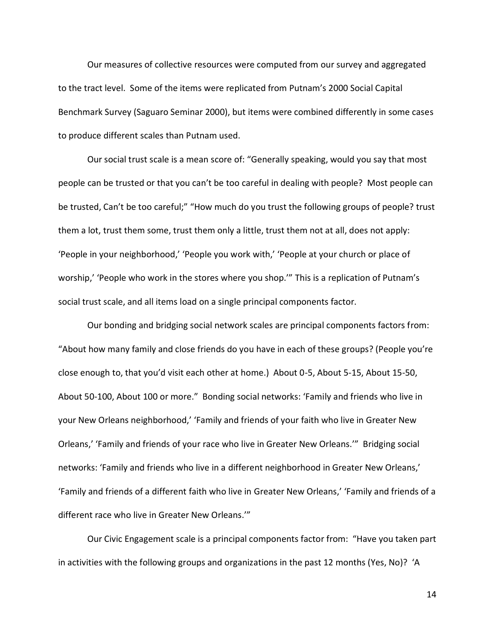Our measures of collective resources were computed from our survey and aggregated to the tract level. Some of the items were replicated from Putnam's 2000 Social Capital Benchmark Survey (Saguaro Seminar 2000), but items were combined differently in some cases to produce different scales than Putnam used.

Our social trust scale is a mean score of: "Generally speaking, would you say that most people can be trusted or that you can't be too careful in dealing with people? Most people can be trusted, Can't be too careful;" "How much do you trust the following groups of people? trust them a lot, trust them some, trust them only a little, trust them not at all, does not apply: 'People in your neighborhood,' 'People you work with,' 'People at your church or place of worship,' 'People who work in the stores where you shop.'" This is a replication of Putnam's social trust scale, and all items load on a single principal components factor.

Our bonding and bridging social network scales are principal components factors from: "About how many family and close friends do you have in each of these groups? (People you're close enough to, that you'd visit each other at home.) About 0-5, About 5-15, About 15-50, About 50-100, About 100 or more." Bonding social networks: 'Family and friends who live in your New Orleans neighborhood,' 'Family and friends of your faith who live in Greater New Orleans,' 'Family and friends of your race who live in Greater New Orleans.'" Bridging social networks: 'Family and friends who live in a different neighborhood in Greater New Orleans,' 'Family and friends of a different faith who live in Greater New Orleans,' 'Family and friends of a different race who live in Greater New Orleans.'"

Our Civic Engagement scale is a principal components factor from: "Have you taken part in activities with the following groups and organizations in the past 12 months (Yes, No)? 'A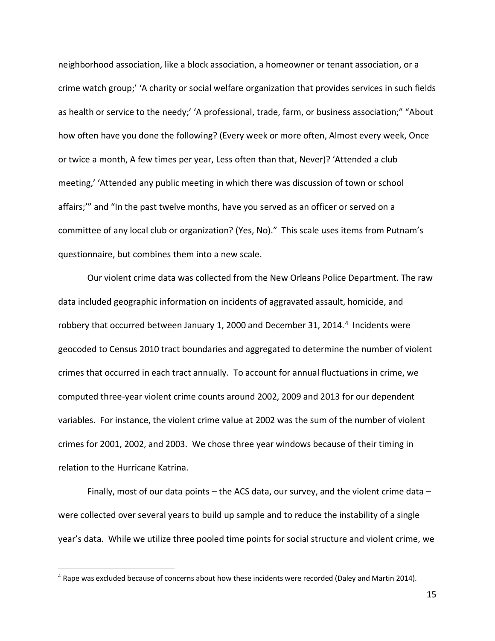neighborhood association, like a block association, a homeowner or tenant association, or a crime watch group;' 'A charity or social welfare organization that provides services in such fields as health or service to the needy;' 'A professional, trade, farm, or business association;" "About how often have you done the following? (Every week or more often, Almost every week, Once or twice a month, A few times per year, Less often than that, Never)? 'Attended a club meeting,' 'Attended any public meeting in which there was discussion of town or school affairs;'" and "In the past twelve months, have you served as an officer or served on a committee of any local club or organization? (Yes, No)." This scale uses items from Putnam's questionnaire, but combines them into a new scale.

Our violent crime data was collected from the New Orleans Police Department. The raw data included geographic information on incidents of aggravated assault, homicide, and robbery that occurred between January 1, 2000 and December 31, 2014.<sup>4</sup> Incidents were geocoded to Census 2010 tract boundaries and aggregated to determine the number of violent crimes that occurred in each tract annually. To account for annual fluctuations in crime, we computed three-year violent crime counts around 2002, 2009 and 2013 for our dependent variables. For instance, the violent crime value at 2002 was the sum of the number of violent crimes for 2001, 2002, and 2003. We chose three year windows because of their timing in relation to the Hurricane Katrina.

Finally, most of our data points – the ACS data, our survey, and the violent crime data – were collected over several years to build up sample and to reduce the instability of a single year's data. While we utilize three pooled time points for social structure and violent crime, we

 $\overline{a}$ 

 $4$  Rape was excluded because of concerns about how these incidents were recorded (Daley and Martin 2014).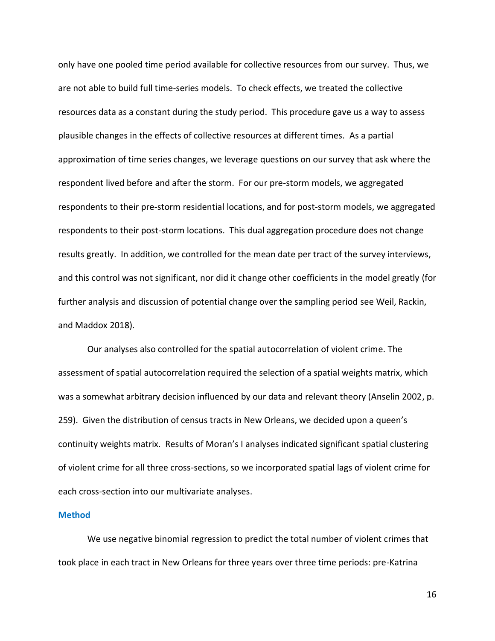only have one pooled time period available for collective resources from our survey. Thus, we are not able to build full time-series models. To check effects, we treated the collective resources data as a constant during the study period. This procedure gave us a way to assess plausible changes in the effects of collective resources at different times. As a partial approximation of time series changes, we leverage questions on our survey that ask where the respondent lived before and after the storm. For our pre-storm models, we aggregated respondents to their pre-storm residential locations, and for post-storm models, we aggregated respondents to their post-storm locations. This dual aggregation procedure does not change results greatly. In addition, we controlled for the mean date per tract of the survey interviews, and this control was not significant, nor did it change other coefficients in the model greatly (for further analysis and discussion of potential change over the sampling period see Weil, Rackin, and Maddox 2018).

Our analyses also controlled for the spatial autocorrelation of violent crime. The assessment of spatial autocorrelation required the selection of a spatial weights matrix, which was a somewhat arbitrary decision influenced by our data and relevant theory (Anselin 2002, p. 259). Given the distribution of census tracts in New Orleans, we decided upon a queen's continuity weights matrix. Results of Moran's I analyses indicated significant spatial clustering of violent crime for all three cross-sections, so we incorporated spatial lags of violent crime for each cross-section into our multivariate analyses.

#### **Method**

We use negative binomial regression to predict the total number of violent crimes that took place in each tract in New Orleans for three years over three time periods: pre-Katrina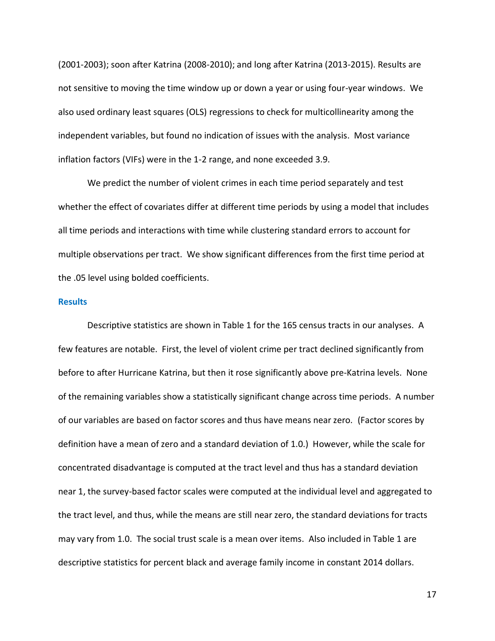(2001-2003); soon after Katrina (2008-2010); and long after Katrina (2013-2015). Results are not sensitive to moving the time window up or down a year or using four-year windows. We also used ordinary least squares (OLS) regressions to check for multicollinearity among the independent variables, but found no indication of issues with the analysis. Most variance inflation factors (VIFs) were in the 1-2 range, and none exceeded 3.9.

We predict the number of violent crimes in each time period separately and test whether the effect of covariates differ at different time periods by using a model that includes all time periods and interactions with time while clustering standard errors to account for multiple observations per tract. We show significant differences from the first time period at the .05 level using bolded coefficients.

#### **Results**

Descriptive statistics are shown in Table 1 for the 165 census tracts in our analyses. A few features are notable. First, the level of violent crime per tract declined significantly from before to after Hurricane Katrina, but then it rose significantly above pre-Katrina levels. None of the remaining variables show a statistically significant change across time periods. A number of our variables are based on factor scores and thus have means near zero. (Factor scores by definition have a mean of zero and a standard deviation of 1.0.) However, while the scale for concentrated disadvantage is computed at the tract level and thus has a standard deviation near 1, the survey-based factor scales were computed at the individual level and aggregated to the tract level, and thus, while the means are still near zero, the standard deviations for tracts may vary from 1.0. The social trust scale is a mean over items. Also included in Table 1 are descriptive statistics for percent black and average family income in constant 2014 dollars.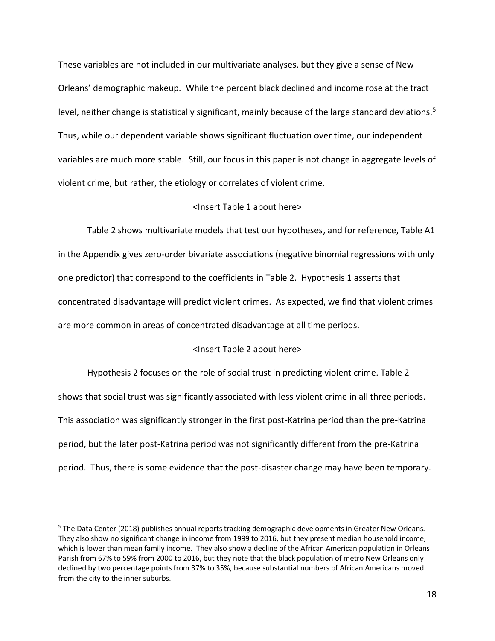These variables are not included in our multivariate analyses, but they give a sense of New Orleans' demographic makeup. While the percent black declined and income rose at the tract level, neither change is statistically significant, mainly because of the large standard deviations.<sup>5</sup> Thus, while our dependent variable shows significant fluctuation over time, our independent variables are much more stable. Still, our focus in this paper is not change in aggregate levels of violent crime, but rather, the etiology or correlates of violent crime.

## <Insert Table 1 about here>

Table 2 shows multivariate models that test our hypotheses, and for reference, Table A1 in the Appendix gives zero-order bivariate associations (negative binomial regressions with only one predictor) that correspond to the coefficients in Table 2. Hypothesis 1 asserts that concentrated disadvantage will predict violent crimes. As expected, we find that violent crimes are more common in areas of concentrated disadvantage at all time periods.

## <Insert Table 2 about here>

Hypothesis 2 focuses on the role of social trust in predicting violent crime. Table 2 shows that social trust was significantly associated with less violent crime in all three periods. This association was significantly stronger in the first post-Katrina period than the pre-Katrina period, but the later post-Katrina period was not significantly different from the pre-Katrina period. Thus, there is some evidence that the post-disaster change may have been temporary.

 $\overline{a}$ 

<sup>&</sup>lt;sup>5</sup> The Data Center (2018) publishes annual reports tracking demographic developments in Greater New Orleans. They also show no significant change in income from 1999 to 2016, but they present median household income, which is lower than mean family income. They also show a decline of the African American population in Orleans Parish from 67% to 59% from 2000 to 2016, but they note that the black population of metro New Orleans only declined by two percentage points from 37% to 35%, because substantial numbers of African Americans moved from the city to the inner suburbs.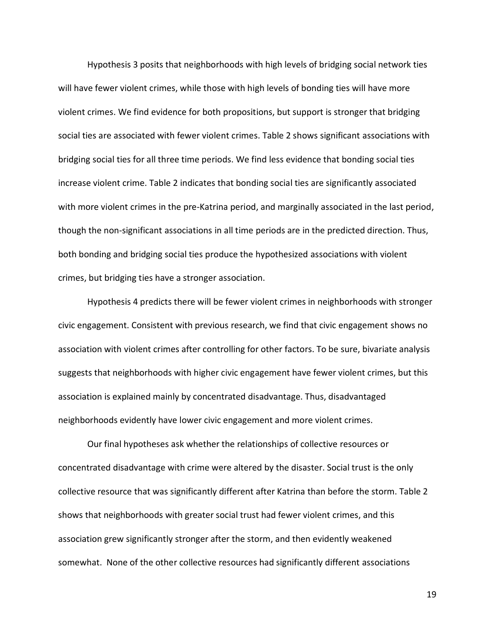Hypothesis 3 posits that neighborhoods with high levels of bridging social network ties will have fewer violent crimes, while those with high levels of bonding ties will have more violent crimes. We find evidence for both propositions, but support is stronger that bridging social ties are associated with fewer violent crimes. Table 2 shows significant associations with bridging social ties for all three time periods. We find less evidence that bonding social ties increase violent crime. Table 2 indicates that bonding social ties are significantly associated with more violent crimes in the pre-Katrina period, and marginally associated in the last period, though the non-significant associations in all time periods are in the predicted direction. Thus, both bonding and bridging social ties produce the hypothesized associations with violent crimes, but bridging ties have a stronger association.

Hypothesis 4 predicts there will be fewer violent crimes in neighborhoods with stronger civic engagement. Consistent with previous research, we find that civic engagement shows no association with violent crimes after controlling for other factors. To be sure, bivariate analysis suggests that neighborhoods with higher civic engagement have fewer violent crimes, but this association is explained mainly by concentrated disadvantage. Thus, disadvantaged neighborhoods evidently have lower civic engagement and more violent crimes.

Our final hypotheses ask whether the relationships of collective resources or concentrated disadvantage with crime were altered by the disaster. Social trust is the only collective resource that was significantly different after Katrina than before the storm. Table 2 shows that neighborhoods with greater social trust had fewer violent crimes, and this association grew significantly stronger after the storm, and then evidently weakened somewhat. None of the other collective resources had significantly different associations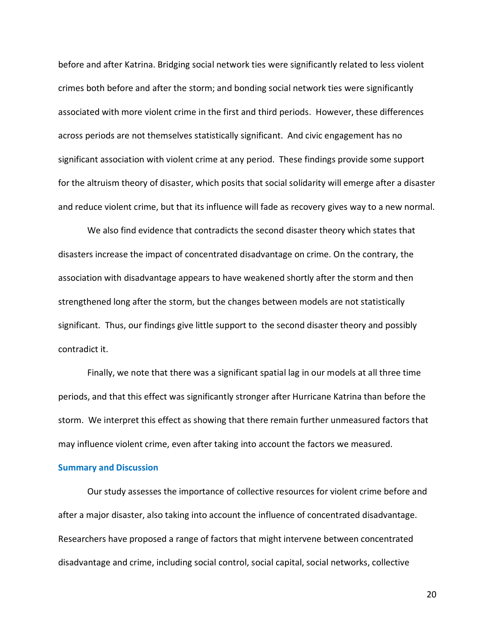before and after Katrina. Bridging social network ties were significantly related to less violent crimes both before and after the storm; and bonding social network ties were significantly associated with more violent crime in the first and third periods. However, these differences across periods are not themselves statistically significant. And civic engagement has no significant association with violent crime at any period. These findings provide some support for the altruism theory of disaster, which posits that social solidarity will emerge after a disaster and reduce violent crime, but that its influence will fade as recovery gives way to a new normal.

We also find evidence that contradicts the second disaster theory which states that disasters increase the impact of concentrated disadvantage on crime. On the contrary, the association with disadvantage appears to have weakened shortly after the storm and then strengthened long after the storm, but the changes between models are not statistically significant. Thus, our findings give little support to the second disaster theory and possibly contradict it.

Finally, we note that there was a significant spatial lag in our models at all three time periods, and that this effect was significantly stronger after Hurricane Katrina than before the storm. We interpret this effect as showing that there remain further unmeasured factors that may influence violent crime, even after taking into account the factors we measured.

## **Summary and Discussion**

Our study assesses the importance of collective resources for violent crime before and after a major disaster, also taking into account the influence of concentrated disadvantage. Researchers have proposed a range of factors that might intervene between concentrated disadvantage and crime, including social control, social capital, social networks, collective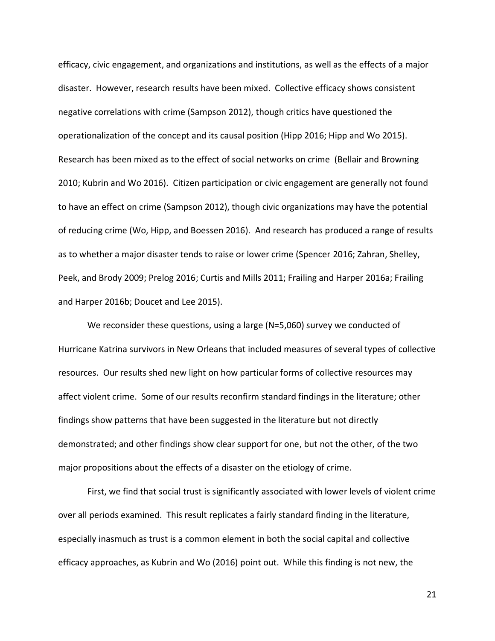efficacy, civic engagement, and organizations and institutions, as well as the effects of a major disaster. However, research results have been mixed. Collective efficacy shows consistent negative correlations with crime (Sampson 2012), though critics have questioned the operationalization of the concept and its causal position (Hipp 2016; Hipp and Wo 2015). Research has been mixed as to the effect of social networks on crime (Bellair and Browning 2010; Kubrin and Wo 2016). Citizen participation or civic engagement are generally not found to have an effect on crime (Sampson 2012), though civic organizations may have the potential of reducing crime (Wo, Hipp, and Boessen 2016). And research has produced a range of results as to whether a major disaster tends to raise or lower crime (Spencer 2016; Zahran, Shelley, Peek, and Brody 2009; Prelog 2016; Curtis and Mills 2011; Frailing and Harper 2016a; Frailing and Harper 2016b; Doucet and Lee 2015).

We reconsider these questions, using a large (N=5,060) survey we conducted of Hurricane Katrina survivors in New Orleans that included measures of several types of collective resources. Our results shed new light on how particular forms of collective resources may affect violent crime. Some of our results reconfirm standard findings in the literature; other findings show patterns that have been suggested in the literature but not directly demonstrated; and other findings show clear support for one, but not the other, of the two major propositions about the effects of a disaster on the etiology of crime.

First, we find that social trust is significantly associated with lower levels of violent crime over all periods examined. This result replicates a fairly standard finding in the literature, especially inasmuch as trust is a common element in both the social capital and collective efficacy approaches, as Kubrin and Wo (2016) point out. While this finding is not new, the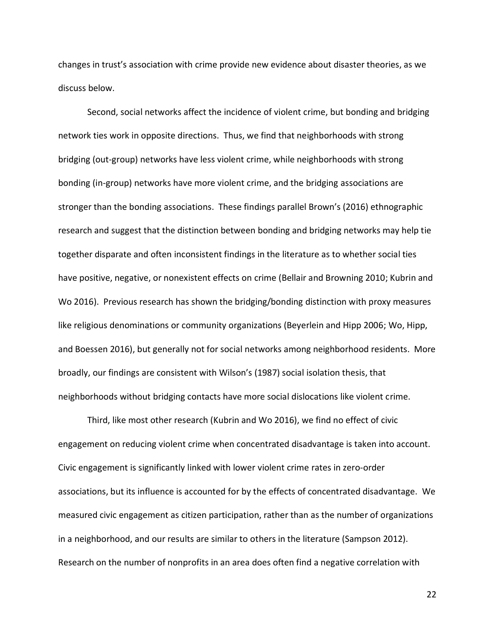changes in trust's association with crime provide new evidence about disaster theories, as we discuss below.

Second, social networks affect the incidence of violent crime, but bonding and bridging network ties work in opposite directions. Thus, we find that neighborhoods with strong bridging (out-group) networks have less violent crime, while neighborhoods with strong bonding (in-group) networks have more violent crime, and the bridging associations are stronger than the bonding associations. These findings parallel Brown's (2016) ethnographic research and suggest that the distinction between bonding and bridging networks may help tie together disparate and often inconsistent findings in the literature as to whether social ties have positive, negative, or nonexistent effects on crime (Bellair and Browning 2010; Kubrin and Wo 2016). Previous research has shown the bridging/bonding distinction with proxy measures like religious denominations or community organizations (Beyerlein and Hipp 2006; Wo, Hipp, and Boessen 2016), but generally not for social networks among neighborhood residents. More broadly, our findings are consistent with Wilson's (1987) social isolation thesis, that neighborhoods without bridging contacts have more social dislocations like violent crime.

Third, like most other research (Kubrin and Wo 2016), we find no effect of civic engagement on reducing violent crime when concentrated disadvantage is taken into account. Civic engagement is significantly linked with lower violent crime rates in zero-order associations, but its influence is accounted for by the effects of concentrated disadvantage. We measured civic engagement as citizen participation, rather than as the number of organizations in a neighborhood, and our results are similar to others in the literature (Sampson 2012). Research on the number of nonprofits in an area does often find a negative correlation with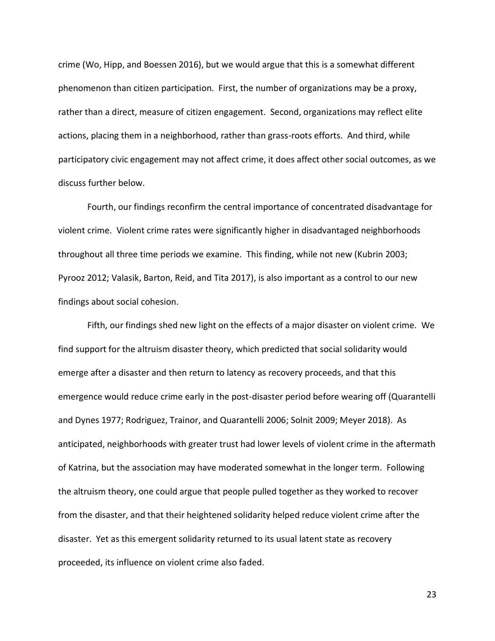crime (Wo, Hipp, and Boessen 2016), but we would argue that this is a somewhat different phenomenon than citizen participation. First, the number of organizations may be a proxy, rather than a direct, measure of citizen engagement. Second, organizations may reflect elite actions, placing them in a neighborhood, rather than grass-roots efforts. And third, while participatory civic engagement may not affect crime, it does affect other social outcomes, as we discuss further below.

Fourth, our findings reconfirm the central importance of concentrated disadvantage for violent crime. Violent crime rates were significantly higher in disadvantaged neighborhoods throughout all three time periods we examine. This finding, while not new (Kubrin 2003; Pyrooz 2012; Valasik, Barton, Reid, and Tita 2017), is also important as a control to our new findings about social cohesion.

Fifth, our findings shed new light on the effects of a major disaster on violent crime. We find support for the altruism disaster theory, which predicted that social solidarity would emerge after a disaster and then return to latency as recovery proceeds, and that this emergence would reduce crime early in the post-disaster period before wearing off (Quarantelli and Dynes 1977; Rodriguez, Trainor, and Quarantelli 2006; Solnit 2009; Meyer 2018). As anticipated, neighborhoods with greater trust had lower levels of violent crime in the aftermath of Katrina, but the association may have moderated somewhat in the longer term. Following the altruism theory, one could argue that people pulled together as they worked to recover from the disaster, and that their heightened solidarity helped reduce violent crime after the disaster. Yet as this emergent solidarity returned to its usual latent state as recovery proceeded, its influence on violent crime also faded.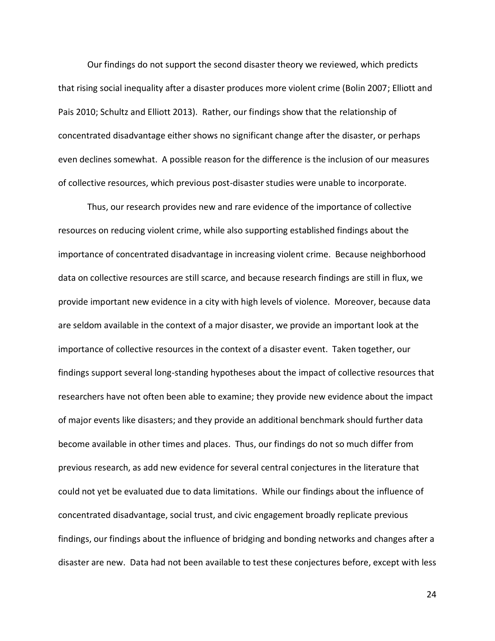Our findings do not support the second disaster theory we reviewed, which predicts that rising social inequality after a disaster produces more violent crime (Bolin 2007; Elliott and Pais 2010; Schultz and Elliott 2013). Rather, our findings show that the relationship of concentrated disadvantage either shows no significant change after the disaster, or perhaps even declines somewhat. A possible reason for the difference is the inclusion of our measures of collective resources, which previous post-disaster studies were unable to incorporate.

Thus, our research provides new and rare evidence of the importance of collective resources on reducing violent crime, while also supporting established findings about the importance of concentrated disadvantage in increasing violent crime. Because neighborhood data on collective resources are still scarce, and because research findings are still in flux, we provide important new evidence in a city with high levels of violence. Moreover, because data are seldom available in the context of a major disaster, we provide an important look at the importance of collective resources in the context of a disaster event. Taken together, our findings support several long-standing hypotheses about the impact of collective resources that researchers have not often been able to examine; they provide new evidence about the impact of major events like disasters; and they provide an additional benchmark should further data become available in other times and places. Thus, our findings do not so much differ from previous research, as add new evidence for several central conjectures in the literature that could not yet be evaluated due to data limitations. While our findings about the influence of concentrated disadvantage, social trust, and civic engagement broadly replicate previous findings, our findings about the influence of bridging and bonding networks and changes after a disaster are new. Data had not been available to test these conjectures before, except with less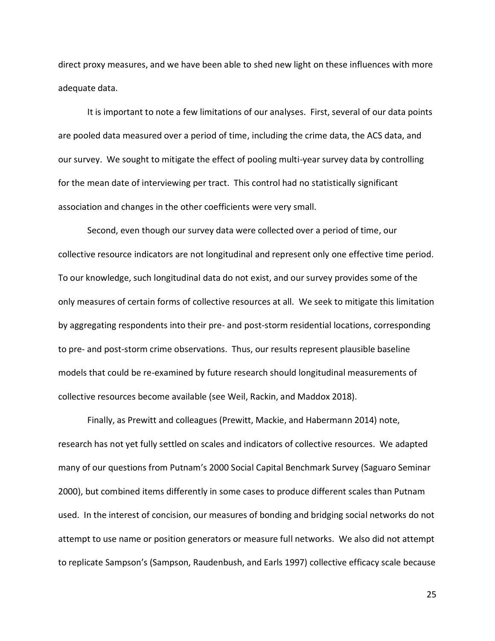direct proxy measures, and we have been able to shed new light on these influences with more adequate data.

It is important to note a few limitations of our analyses. First, several of our data points are pooled data measured over a period of time, including the crime data, the ACS data, and our survey. We sought to mitigate the effect of pooling multi-year survey data by controlling for the mean date of interviewing per tract. This control had no statistically significant association and changes in the other coefficients were very small.

Second, even though our survey data were collected over a period of time, our collective resource indicators are not longitudinal and represent only one effective time period. To our knowledge, such longitudinal data do not exist, and our survey provides some of the only measures of certain forms of collective resources at all. We seek to mitigate this limitation by aggregating respondents into their pre- and post-storm residential locations, corresponding to pre- and post-storm crime observations. Thus, our results represent plausible baseline models that could be re-examined by future research should longitudinal measurements of collective resources become available (see Weil, Rackin, and Maddox 2018).

Finally, as Prewitt and colleagues (Prewitt, Mackie, and Habermann 2014) note, research has not yet fully settled on scales and indicators of collective resources. We adapted many of our questions from Putnam's 2000 Social Capital Benchmark Survey (Saguaro Seminar 2000), but combined items differently in some cases to produce different scales than Putnam used. In the interest of concision, our measures of bonding and bridging social networks do not attempt to use name or position generators or measure full networks. We also did not attempt to replicate Sampson's (Sampson, Raudenbush, and Earls 1997) collective efficacy scale because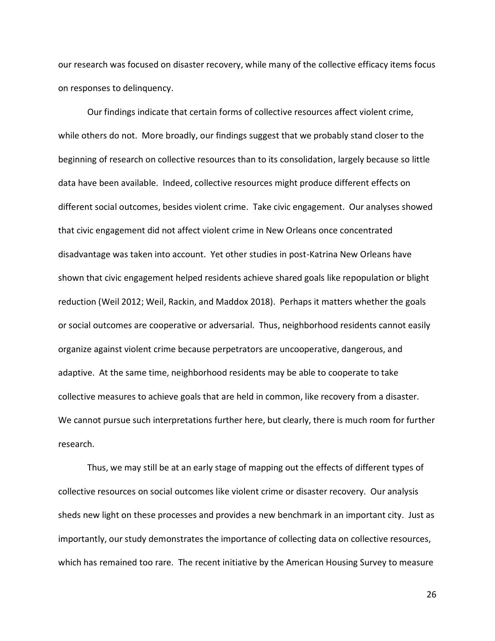our research was focused on disaster recovery, while many of the collective efficacy items focus on responses to delinquency.

Our findings indicate that certain forms of collective resources affect violent crime, while others do not. More broadly, our findings suggest that we probably stand closer to the beginning of research on collective resources than to its consolidation, largely because so little data have been available. Indeed, collective resources might produce different effects on different social outcomes, besides violent crime. Take civic engagement. Our analyses showed that civic engagement did not affect violent crime in New Orleans once concentrated disadvantage was taken into account. Yet other studies in post-Katrina New Orleans have shown that civic engagement helped residents achieve shared goals like repopulation or blight reduction (Weil 2012; Weil, Rackin, and Maddox 2018). Perhaps it matters whether the goals or social outcomes are cooperative or adversarial. Thus, neighborhood residents cannot easily organize against violent crime because perpetrators are uncooperative, dangerous, and adaptive. At the same time, neighborhood residents may be able to cooperate to take collective measures to achieve goals that are held in common, like recovery from a disaster. We cannot pursue such interpretations further here, but clearly, there is much room for further research.

Thus, we may still be at an early stage of mapping out the effects of different types of collective resources on social outcomes like violent crime or disaster recovery. Our analysis sheds new light on these processes and provides a new benchmark in an important city. Just as importantly, our study demonstrates the importance of collecting data on collective resources, which has remained too rare. The recent initiative by the American Housing Survey to measure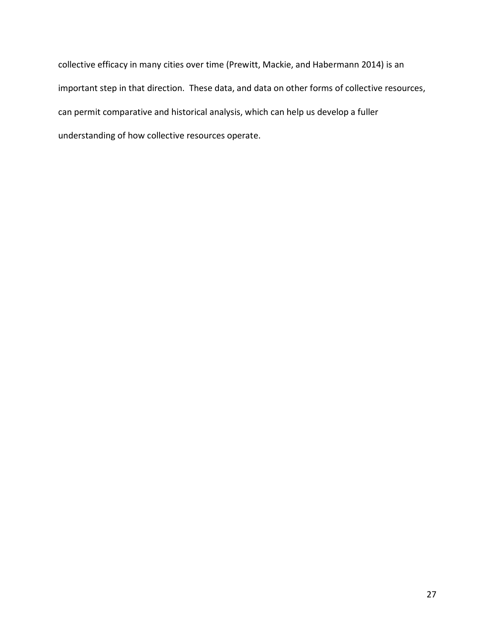collective efficacy in many cities over time (Prewitt, Mackie, and Habermann 2014) is an important step in that direction. These data, and data on other forms of collective resources, can permit comparative and historical analysis, which can help us develop a fuller understanding of how collective resources operate.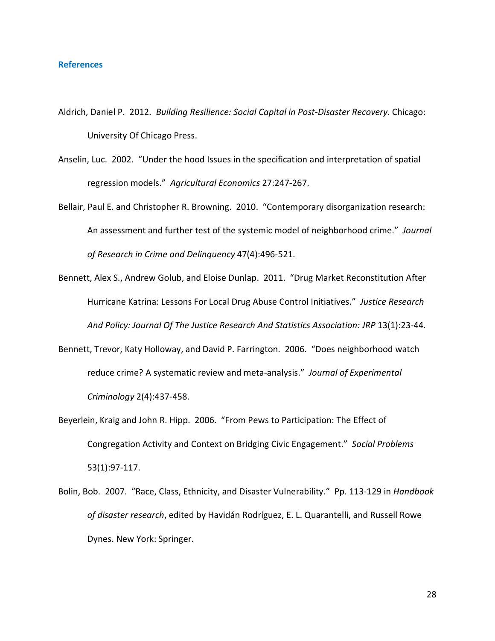### **References**

- Aldrich, Daniel P. 2012. *Building Resilience: Social Capital in Post-Disaster Recovery*. Chicago: University Of Chicago Press.
- Anselin, Luc. 2002. "Under the hood Issues in the specification and interpretation of spatial regression models." *Agricultural Economics* 27:247-267.
- Bellair, Paul E. and Christopher R. Browning. 2010. "Contemporary disorganization research: An assessment and further test of the systemic model of neighborhood crime." *Journal of Research in Crime and Delinquency* 47(4):496-521.
- Bennett, Alex S., Andrew Golub, and Eloise Dunlap. 2011. "Drug Market Reconstitution After Hurricane Katrina: Lessons For Local Drug Abuse Control Initiatives." *Justice Research And Policy: Journal Of The Justice Research And Statistics Association: JRP* 13(1):23-44.
- Bennett, Trevor, Katy Holloway, and David P. Farrington. 2006. "Does neighborhood watch reduce crime? A systematic review and meta-analysis." *Journal of Experimental Criminology* 2(4):437-458.
- Beyerlein, Kraig and John R. Hipp. 2006. "From Pews to Participation: The Effect of Congregation Activity and Context on Bridging Civic Engagement." *Social Problems* 53(1):97-117.
- Bolin, Bob. 2007. "Race, Class, Ethnicity, and Disaster Vulnerability." Pp. 113-129 in *Handbook of disaster research*, edited by Havidán Rodríguez, E. L. Quarantelli, and Russell Rowe Dynes. New York: Springer.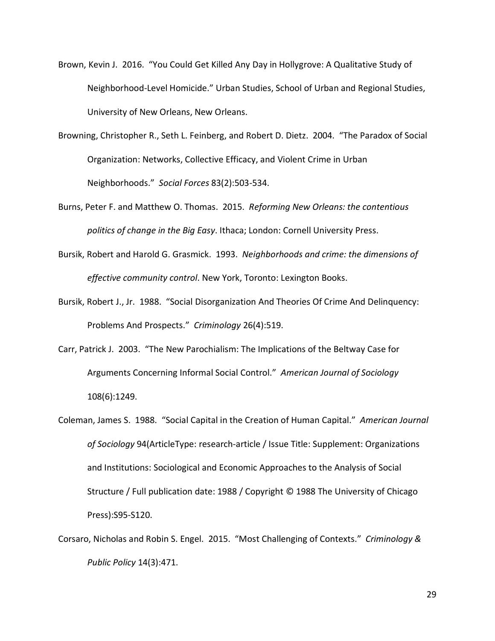- Brown, Kevin J. 2016. "You Could Get Killed Any Day in Hollygrove: A Qualitative Study of Neighborhood-Level Homicide." Urban Studies, School of Urban and Regional Studies, University of New Orleans, New Orleans.
- Browning, Christopher R., Seth L. Feinberg, and Robert D. Dietz. 2004. "The Paradox of Social Organization: Networks, Collective Efficacy, and Violent Crime in Urban Neighborhoods." *Social Forces* 83(2):503-534.
- Burns, Peter F. and Matthew O. Thomas. 2015. *Reforming New Orleans: the contentious politics of change in the Big Easy*. Ithaca; London: Cornell University Press.
- Bursik, Robert and Harold G. Grasmick. 1993. *Neighborhoods and crime: the dimensions of effective community control*. New York, Toronto: Lexington Books.
- Bursik, Robert J., Jr. 1988. "Social Disorganization And Theories Of Crime And Delinquency: Problems And Prospects." *Criminology* 26(4):519.
- Carr, Patrick J. 2003. "The New Parochialism: The Implications of the Beltway Case for Arguments Concerning Informal Social Control." *American Journal of Sociology* 108(6):1249.
- Coleman, James S. 1988. "Social Capital in the Creation of Human Capital." *American Journal of Sociology* 94(ArticleType: research-article / Issue Title: Supplement: Organizations and Institutions: Sociological and Economic Approaches to the Analysis of Social Structure / Full publication date: 1988 / Copyright © 1988 The University of Chicago Press):S95-S120.
- Corsaro, Nicholas and Robin S. Engel. 2015. "Most Challenging of Contexts." *Criminology & Public Policy* 14(3):471.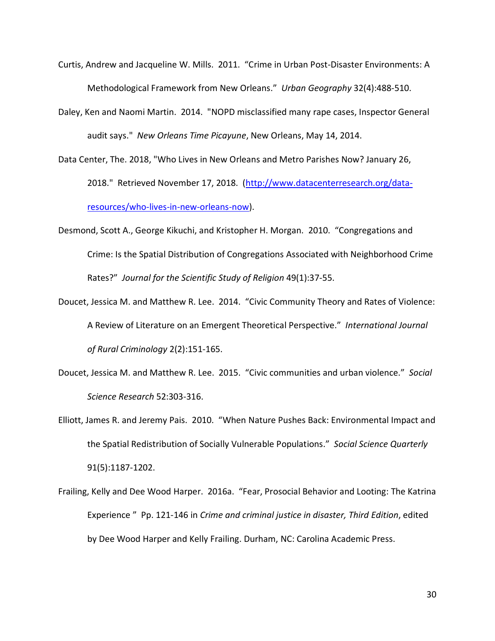- Curtis, Andrew and Jacqueline W. Mills. 2011. "Crime in Urban Post-Disaster Environments: A Methodological Framework from New Orleans." *Urban Geography* 32(4):488-510.
- Daley, Ken and Naomi Martin. 2014. "NOPD misclassified many rape cases, Inspector General audit says." *New Orleans Time Picayune*, New Orleans, May 14, 2014.
- Data Center, The. 2018, "Who Lives in New Orleans and Metro Parishes Now? January 26, 2018." Retrieved November 17, 2018. [\(http://www.datacenterresearch.org/data](http://www.datacenterresearch.org/data-resources/who-lives-in-new-orleans-now)[resources/who-lives-in-new-orleans-now\)](http://www.datacenterresearch.org/data-resources/who-lives-in-new-orleans-now).
- Desmond, Scott A., George Kikuchi, and Kristopher H. Morgan. 2010. "Congregations and Crime: Is the Spatial Distribution of Congregations Associated with Neighborhood Crime Rates?" *Journal for the Scientific Study of Religion* 49(1):37-55.
- Doucet, Jessica M. and Matthew R. Lee. 2014. "Civic Community Theory and Rates of Violence: A Review of Literature on an Emergent Theoretical Perspective." *International Journal of Rural Criminology* 2(2):151-165.
- Doucet, Jessica M. and Matthew R. Lee. 2015. "Civic communities and urban violence." *Social Science Research* 52:303-316.
- Elliott, James R. and Jeremy Pais. 2010. "When Nature Pushes Back: Environmental Impact and the Spatial Redistribution of Socially Vulnerable Populations." *Social Science Quarterly* 91(5):1187-1202.
- Frailing, Kelly and Dee Wood Harper. 2016a. "Fear, Prosocial Behavior and Looting: The Katrina Experience " Pp. 121-146 in *Crime and criminal justice in disaster, Third Edition*, edited by Dee Wood Harper and Kelly Frailing. Durham, NC: Carolina Academic Press.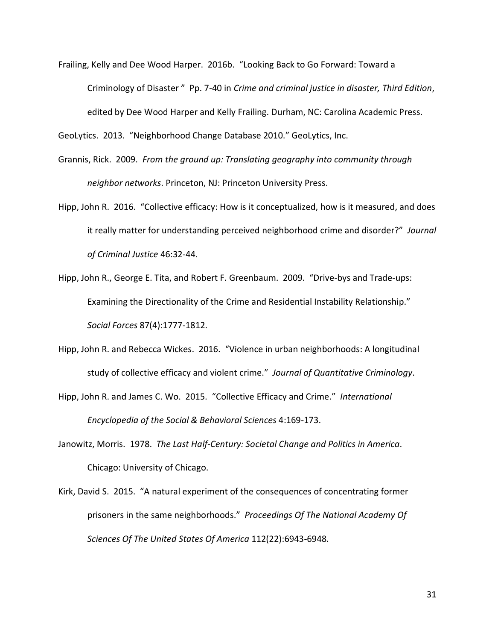Frailing, Kelly and Dee Wood Harper. 2016b. "Looking Back to Go Forward: Toward a Criminology of Disaster " Pp. 7-40 in *Crime and criminal justice in disaster, Third Edition*, edited by Dee Wood Harper and Kelly Frailing. Durham, NC: Carolina Academic Press.

GeoLytics. 2013. "Neighborhood Change Database 2010." GeoLytics, Inc.

- Grannis, Rick. 2009. *From the ground up: Translating geography into community through neighbor networks*. Princeton, NJ: Princeton University Press.
- Hipp, John R. 2016. "Collective efficacy: How is it conceptualized, how is it measured, and does it really matter for understanding perceived neighborhood crime and disorder?" *Journal of Criminal Justice* 46:32-44.
- Hipp, John R., George E. Tita, and Robert F. Greenbaum. 2009. "Drive-bys and Trade-ups: Examining the Directionality of the Crime and Residential Instability Relationship." *Social Forces* 87(4):1777-1812.
- Hipp, John R. and Rebecca Wickes. 2016. "Violence in urban neighborhoods: A longitudinal study of collective efficacy and violent crime." *Journal of Quantitative Criminology*.
- Hipp, John R. and James C. Wo. 2015. "Collective Efficacy and Crime." *International Encyclopedia of the Social & Behavioral Sciences* 4:169-173.
- Janowitz, Morris. 1978. *The Last Half-Century: Societal Change and Politics in America*. Chicago: University of Chicago.
- Kirk, David S. 2015. "A natural experiment of the consequences of concentrating former prisoners in the same neighborhoods." *Proceedings Of The National Academy Of Sciences Of The United States Of America* 112(22):6943-6948.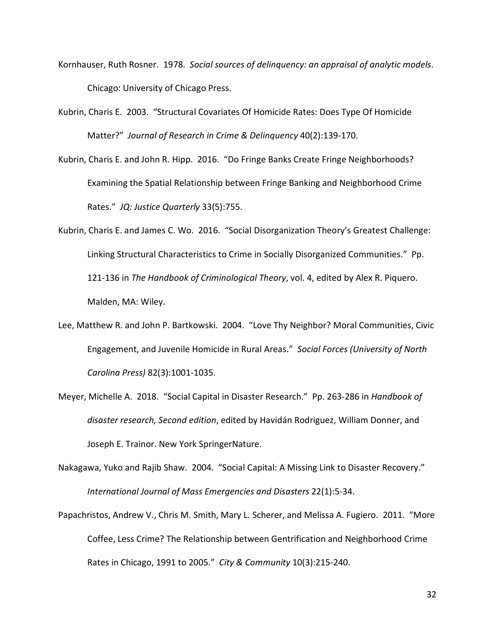- Kornhauser, Ruth Rosner. 1978. *Social sources of delinquency: an appraisal of analytic models*. Chicago: University of Chicago Press.
- Kubrin, Charis E. 2003. "Structural Covariates Of Homicide Rates: Does Type Of Homicide Matter?" *Journal of Research in Crime & Delinquency* 40(2):139-170.
- Kubrin, Charis E. and John R. Hipp. 2016. "Do Fringe Banks Create Fringe Neighborhoods? Examining the Spatial Relationship between Fringe Banking and Neighborhood Crime Rates." *JQ: Justice Quarterly* 33(5):755.
- Kubrin, Charis E. and James C. Wo. 2016. "Social Disorganization Theory's Greatest Challenge: Linking Structural Characteristics to Crime in Socially Disorganized Communities." Pp. 121-136 in *The Handbook of Criminological Theory*, vol. 4, edited by Alex R. Piquero. Malden, MA: Wiley.
- Lee, Matthew R. and John P. Bartkowski. 2004. "Love Thy Neighbor? Moral Communities, Civic Engagement, and Juvenile Homicide in Rural Areas." *Social Forces (University of North Carolina Press)* 82(3):1001-1035.
- Meyer, Michelle A. 2018. "Social Capital in Disaster Research." Pp. 263-286 in *Handbook of disaster research, Second edition*, edited by Havidán Rodriguez, William Donner, and Joseph E. Trainor. New York SpringerNature.
- Nakagawa, Yuko and Rajib Shaw. 2004. "Social Capital: A Missing Link to Disaster Recovery." *International Journal of Mass Emergencies and Disasters* 22(1):5-34.
- Papachristos, Andrew V., Chris M. Smith, Mary L. Scherer, and Melissa A. Fugiero. 2011. "More Coffee, Less Crime? The Relationship between Gentrification and Neighborhood Crime Rates in Chicago, 1991 to 2005." *City & Community* 10(3):215-240.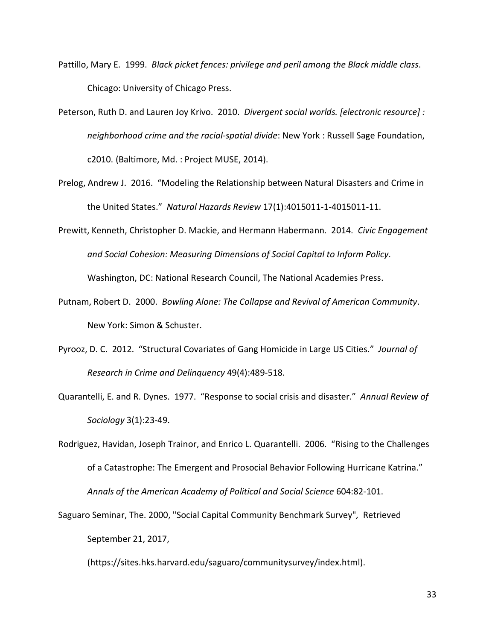- Pattillo, Mary E. 1999. *Black picket fences: privilege and peril among the Black middle class*. Chicago: University of Chicago Press.
- Peterson, Ruth D. and Lauren Joy Krivo. 2010. *Divergent social worlds. [electronic resource] : neighborhood crime and the racial-spatial divide*: New York : Russell Sage Foundation, c2010. (Baltimore, Md. : Project MUSE, 2014).
- Prelog, Andrew J. 2016. "Modeling the Relationship between Natural Disasters and Crime in the United States." *Natural Hazards Review* 17(1):4015011-1-4015011-11.
- Prewitt, Kenneth, Christopher D. Mackie, and Hermann Habermann. 2014. *Civic Engagement and Social Cohesion: Measuring Dimensions of Social Capital to Inform Policy*. Washington, DC: National Research Council, The National Academies Press.
- Putnam, Robert D. 2000. *Bowling Alone: The Collapse and Revival of American Community*. New York: Simon & Schuster.
- Pyrooz, D. C. 2012. "Structural Covariates of Gang Homicide in Large US Cities." *Journal of Research in Crime and Delinquency* 49(4):489-518.
- Quarantelli, E. and R. Dynes. 1977. "Response to social crisis and disaster." *Annual Review of Sociology* 3(1):23-49.

Rodriguez, Havidan, Joseph Trainor, and Enrico L. Quarantelli. 2006. "Rising to the Challenges of a Catastrophe: The Emergent and Prosocial Behavior Following Hurricane Katrina." *Annals of the American Academy of Political and Social Science* 604:82-101.

Saguaro Seminar, The. 2000, "Social Capital Community Benchmark Survey"*,* Retrieved September 21, 2017,

(https://sites.hks.harvard.edu/saguaro/communitysurvey/index.html).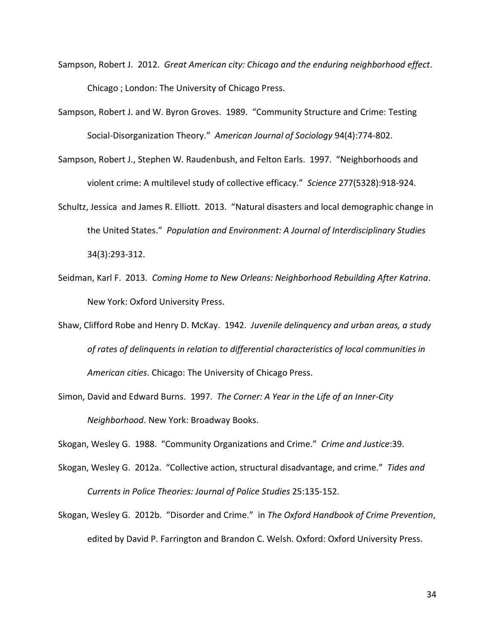- Sampson, Robert J. 2012. *Great American city: Chicago and the enduring neighborhood effect*. Chicago ; London: The University of Chicago Press.
- Sampson, Robert J. and W. Byron Groves. 1989. "Community Structure and Crime: Testing Social-Disorganization Theory." *American Journal of Sociology* 94(4):774-802.
- Sampson, Robert J., Stephen W. Raudenbush, and Felton Earls. 1997. "Neighborhoods and violent crime: A multilevel study of collective efficacy." *Science* 277(5328):918-924.
- Schultz, Jessica and James R. Elliott. 2013. "Natural disasters and local demographic change in the United States." *Population and Environment: A Journal of Interdisciplinary Studies* 34(3):293-312.
- Seidman, Karl F. 2013. *Coming Home to New Orleans: Neighborhood Rebuilding After Katrina*. New York: Oxford University Press.
- Shaw, Clifford Robe and Henry D. McKay. 1942. *Juvenile delinquency and urban areas, a study of rates of delinquents in relation to differential characteristics of local communities in American cities*. Chicago: The University of Chicago Press.
- Simon, David and Edward Burns. 1997. *The Corner: A Year in the Life of an Inner-City Neighborhood*. New York: Broadway Books.

Skogan, Wesley G. 1988. "Community Organizations and Crime." *Crime and Justice*:39.

- Skogan, Wesley G. 2012a. "Collective action, structural disadvantage, and crime." *Tides and Currents in Police Theories: Journal of Police Studies* 25:135-152.
- Skogan, Wesley G. 2012b. "Disorder and Crime." in *The Oxford Handbook of Crime Prevention*, edited by David P. Farrington and Brandon C. Welsh. Oxford: Oxford University Press.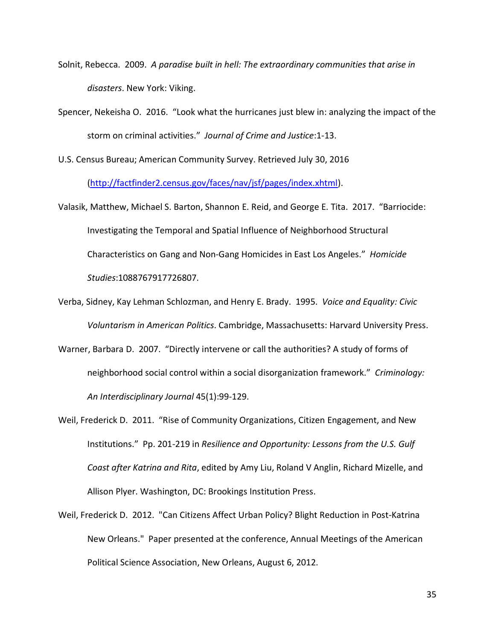- Solnit, Rebecca. 2009. *A paradise built in hell: The extraordinary communities that arise in disasters*. New York: Viking.
- Spencer, Nekeisha O. 2016. "Look what the hurricanes just blew in: analyzing the impact of the storm on criminal activities." *Journal of Crime and Justice*:1-13.

U.S. Census Bureau; American Community Survey. Retrieved July 30, 2016

[\(http://factfinder2.census.gov/faces/nav/jsf/pages/index.xhtml\)](http://factfinder2.census.gov/faces/nav/jsf/pages/index.xhtml).

- Valasik, Matthew, Michael S. Barton, Shannon E. Reid, and George E. Tita. 2017. "Barriocide: Investigating the Temporal and Spatial Influence of Neighborhood Structural Characteristics on Gang and Non-Gang Homicides in East Los Angeles." *Homicide Studies*:1088767917726807.
- Verba, Sidney, Kay Lehman Schlozman, and Henry E. Brady. 1995. *Voice and Equality: Civic Voluntarism in American Politics*. Cambridge, Massachusetts: Harvard University Press.
- Warner, Barbara D. 2007. "Directly intervene or call the authorities? A study of forms of neighborhood social control within a social disorganization framework." *Criminology: An Interdisciplinary Journal* 45(1):99-129.
- Weil, Frederick D. 2011. "Rise of Community Organizations, Citizen Engagement, and New Institutions." Pp. 201-219 in *Resilience and Opportunity: Lessons from the U.S. Gulf Coast after Katrina and Rita*, edited by Amy Liu, Roland V Anglin, Richard Mizelle, and Allison Plyer. Washington, DC: Brookings Institution Press.
- Weil, Frederick D. 2012. "Can Citizens Affect Urban Policy? Blight Reduction in Post-Katrina New Orleans." Paper presented at the conference, Annual Meetings of the American Political Science Association, New Orleans, August 6, 2012.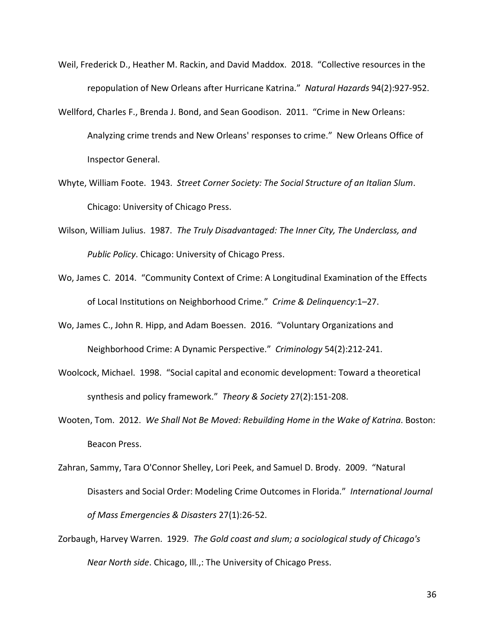- Weil, Frederick D., Heather M. Rackin, and David Maddox. 2018. "Collective resources in the repopulation of New Orleans after Hurricane Katrina." *Natural Hazards* 94(2):927-952.
- Wellford, Charles F., Brenda J. Bond, and Sean Goodison. 2011. "Crime in New Orleans: Analyzing crime trends and New Orleans' responses to crime." New Orleans Office of Inspector General.
- Whyte, William Foote. 1943. *Street Corner Society: The Social Structure of an Italian Slum*. Chicago: University of Chicago Press.
- Wilson, William Julius. 1987. *The Truly Disadvantaged: The Inner City, The Underclass, and Public Policy*. Chicago: University of Chicago Press.
- Wo, James C. 2014. "Community Context of Crime: A Longitudinal Examination of the Effects of Local Institutions on Neighborhood Crime." *Crime & Delinquency*:1–27.
- Wo, James C., John R. Hipp, and Adam Boessen. 2016. "Voluntary Organizations and Neighborhood Crime: A Dynamic Perspective." *Criminology* 54(2):212-241.
- Woolcock, Michael. 1998. "Social capital and economic development: Toward a theoretical synthesis and policy framework." *Theory & Society* 27(2):151-208.
- Wooten, Tom. 2012. *We Shall Not Be Moved: Rebuilding Home in the Wake of Katrina*. Boston: Beacon Press.
- Zahran, Sammy, Tara O'Connor Shelley, Lori Peek, and Samuel D. Brody. 2009. "Natural Disasters and Social Order: Modeling Crime Outcomes in Florida." *International Journal of Mass Emergencies & Disasters* 27(1):26-52.
- Zorbaugh, Harvey Warren. 1929. *The Gold coast and slum; a sociological study of Chicago's Near North side*. Chicago, Ill.,: The University of Chicago Press.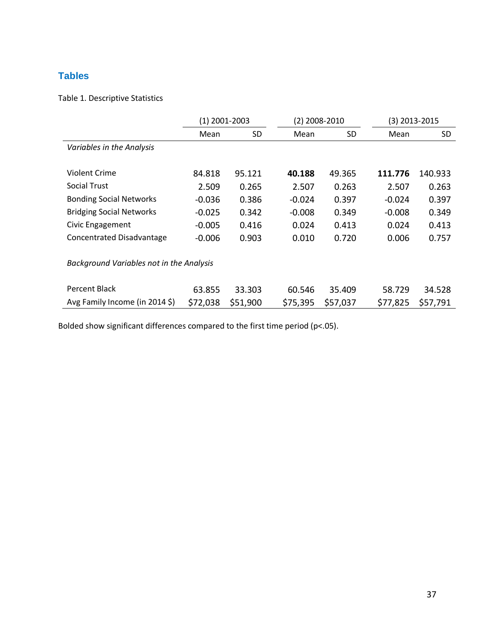# **Tables**

## Table 1. Descriptive Statistics

|                                          | (1) 2001-2003 |           |          | (2) 2008-2010 |          | (3) 2013-2015 |  |
|------------------------------------------|---------------|-----------|----------|---------------|----------|---------------|--|
|                                          | Mean          | <b>SD</b> | Mean     | SD.           | Mean     | SD.           |  |
| Variables in the Analysis                |               |           |          |               |          |               |  |
|                                          |               |           |          |               |          |               |  |
| <b>Violent Crime</b>                     | 84.818        | 95.121    | 40.188   | 49.365        | 111.776  | 140.933       |  |
| <b>Social Trust</b>                      | 2.509         | 0.265     | 2.507    | 0.263         | 2.507    | 0.263         |  |
| <b>Bonding Social Networks</b>           | $-0.036$      | 0.386     | $-0.024$ | 0.397         | $-0.024$ | 0.397         |  |
| <b>Bridging Social Networks</b>          | $-0.025$      | 0.342     | $-0.008$ | 0.349         | $-0.008$ | 0.349         |  |
| Civic Engagement                         | $-0.005$      | 0.416     | 0.024    | 0.413         | 0.024    | 0.413         |  |
| Concentrated Disadvantage                | $-0.006$      | 0.903     | 0.010    | 0.720         | 0.006    | 0.757         |  |
|                                          |               |           |          |               |          |               |  |
| Background Variables not in the Analysis |               |           |          |               |          |               |  |
|                                          |               |           |          |               |          |               |  |
| Percent Black                            | 63.855        | 33.303    | 60.546   | 35.409        | 58.729   | 34.528        |  |
| Avg Family Income (in 2014 \$)           | \$72,038      | \$51,900  | \$75,395 | \$57,037      | \$77,825 | \$57,791      |  |

Bolded show significant differences compared to the first time period (p<.05).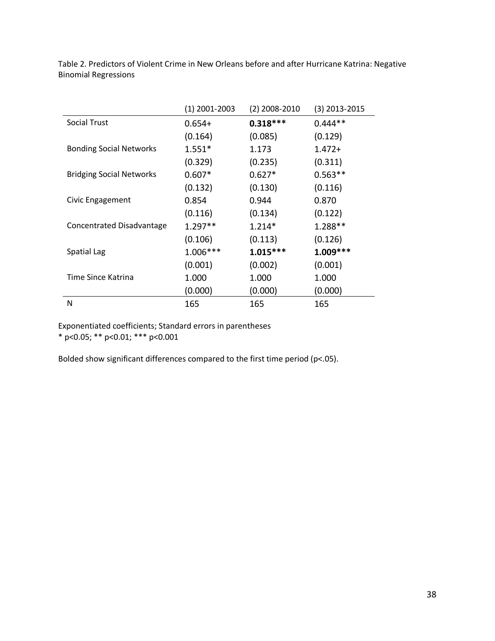| Table 2. Predictors of Violent Crime in New Orleans before and after Hurricane Katrina: Negative |  |  |
|--------------------------------------------------------------------------------------------------|--|--|
| <b>Binomial Regressions</b>                                                                      |  |  |

|                                 | (1) 2001-2003 | $(2)$ 2008-2010 | $(3)$ 2013-2015 |
|---------------------------------|---------------|-----------------|-----------------|
| <b>Social Trust</b>             | $0.654+$      | $0.318***$      | $0.444**$       |
|                                 | (0.164)       | (0.085)         | (0.129)         |
| <b>Bonding Social Networks</b>  | $1.551*$      | 1.173           | $1.472+$        |
|                                 | (0.329)       | (0.235)         | (0.311)         |
| <b>Bridging Social Networks</b> | $0.607*$      | $0.627*$        | $0.563**$       |
|                                 | (0.132)       | (0.130)         | (0.116)         |
| Civic Engagement                | 0.854         | 0.944           | 0.870           |
|                                 | (0.116)       | (0.134)         | (0.122)         |
| Concentrated Disadvantage       | $1.297**$     | $1.214*$        | 1.288**         |
|                                 | (0.106)       | (0.113)         | (0.126)         |
| Spatial Lag                     | $1.006***$    | $1.015***$      | $1.009***$      |
|                                 | (0.001)       | (0.002)         | (0.001)         |
| Time Since Katrina              | 1.000         | 1.000           | 1.000           |
|                                 | (0.000)       | (0.000)         | (0.000)         |
| N                               | 165           | 165             | 165             |

Exponentiated coefficients; Standard errors in parentheses

\* p<0.05; \*\* p<0.01; \*\*\* p<0.001

Bolded show significant differences compared to the first time period (p<.05).